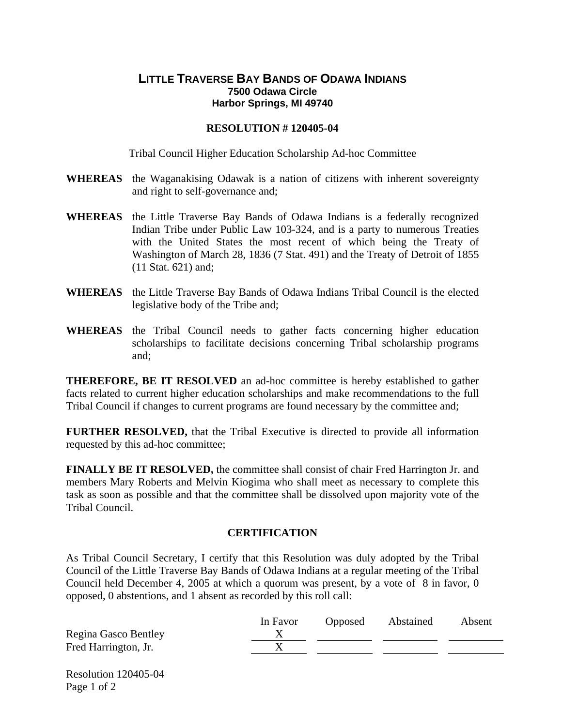## **LITTLE TRAVERSE BAY BANDS OF ODAWA INDIANS 7500 Odawa Circle Harbor Springs, MI 49740**

## **RESOLUTION # 120405-04**

Tribal Council Higher Education Scholarship Ad-hoc Committee

- **WHEREAS** the Waganakising Odawak is a nation of citizens with inherent sovereignty and right to self-governance and;
- **WHEREAS** the Little Traverse Bay Bands of Odawa Indians is a federally recognized Indian Tribe under Public Law 103-324, and is a party to numerous Treaties with the United States the most recent of which being the Treaty of Washington of March 28, 1836 (7 Stat. 491) and the Treaty of Detroit of 1855 (11 Stat. 621) and;
- **WHEREAS** the Little Traverse Bay Bands of Odawa Indians Tribal Council is the elected legislative body of the Tribe and;
- **WHEREAS** the Tribal Council needs to gather facts concerning higher education scholarships to facilitate decisions concerning Tribal scholarship programs and;

**THEREFORE, BE IT RESOLVED** an ad-hoc committee is hereby established to gather facts related to current higher education scholarships and make recommendations to the full Tribal Council if changes to current programs are found necessary by the committee and;

**FURTHER RESOLVED,** that the Tribal Executive is directed to provide all information requested by this ad-hoc committee;

**FINALLY BE IT RESOLVED,** the committee shall consist of chair Fred Harrington Jr. and members Mary Roberts and Melvin Kiogima who shall meet as necessary to complete this task as soon as possible and that the committee shall be dissolved upon majority vote of the Tribal Council.

## **CERTIFICATION**

As Tribal Council Secretary, I certify that this Resolution was duly adopted by the Tribal Council of the Little Traverse Bay Bands of Odawa Indians at a regular meeting of the Tribal Council held December 4, 2005 at which a quorum was present, by a vote of 8 in favor, 0 opposed, 0 abstentions, and 1 absent as recorded by this roll call:

|                      | In Favor | <b>Opposed</b> | Abstained | Absent |
|----------------------|----------|----------------|-----------|--------|
| Regina Gasco Bentley |          |                |           |        |
| Fred Harrington, Jr. |          |                |           |        |

Resolution 120405-04 Page 1 of 2